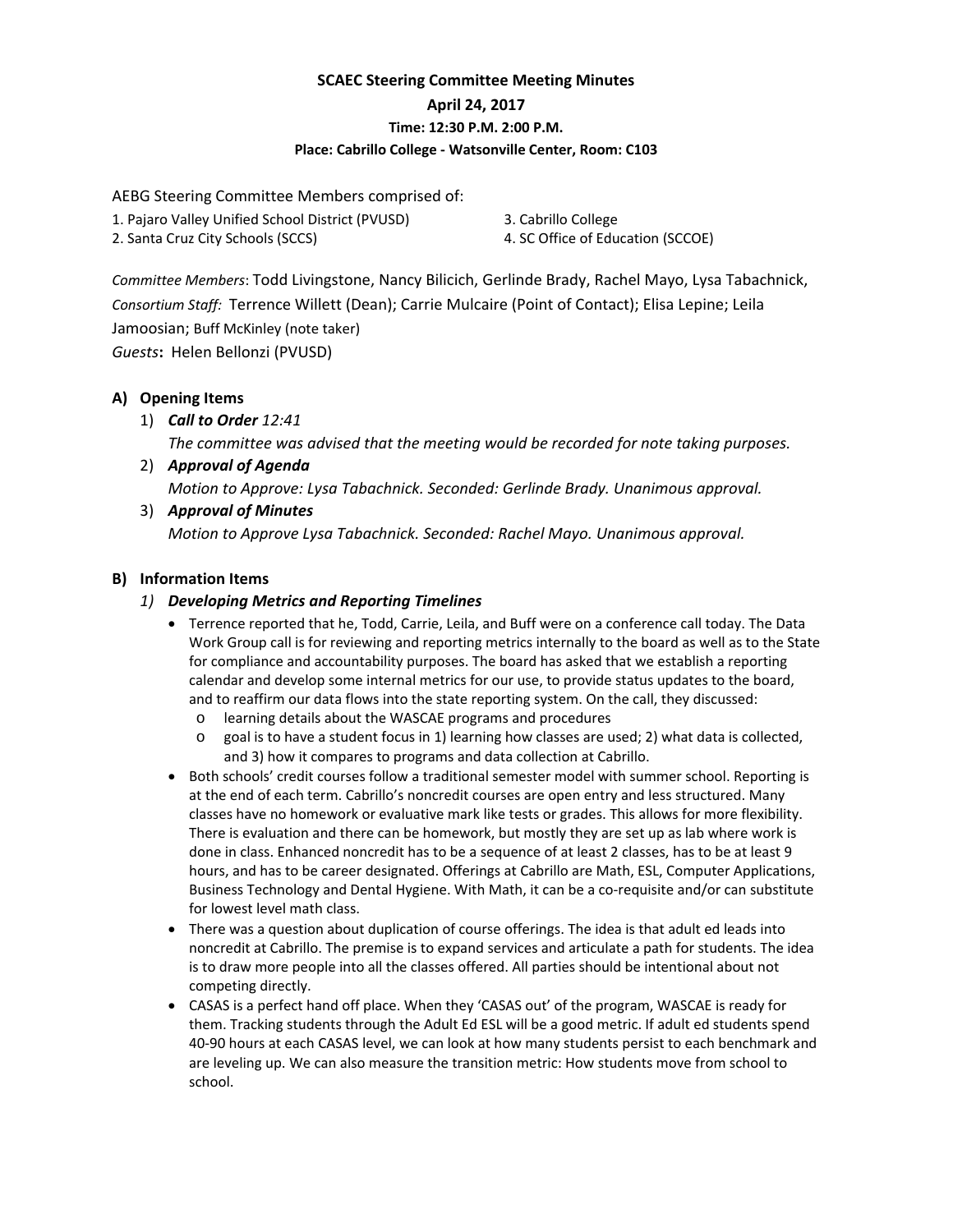# **SCAEC Steering Committee Meeting Minutes April 24, 2017 Time: 12:30 P.M. 2:00 P.M. Place: Cabrillo College ‐ Watsonville Center, Room: C103**

AEBG Steering Committee Members comprised of:

- 1. Pajaro Valley Unified School District (PVUSD)
- 2. Santa Cruz City Schools (SCCS)

3. Cabrillo College

4. SC Office of Education (SCCOE)

*Committee Members*: Todd Livingstone, Nancy Bilicich, Gerlinde Brady, Rachel Mayo, Lysa Tabachnick, *Consortium Staff:* Terrence Willett (Dean); Carrie Mulcaire (Point of Contact); Elisa Lepine; Leila Jamoosian; Buff McKinley (note taker)

*Guests***:** Helen Bellonzi (PVUSD)

## **A) Opening Items**

1) *Call to Order 12:41*

*The committee was advised that the meeting would be recorded for note taking purposes.*

- 2) *Approval of Agenda Motion to Approve: Lysa Tabachnick. Seconded: Gerlinde Brady. Unanimous approval.*
- 3) *Approval of Minutes Motion to Approve Lysa Tabachnick. Seconded: Rachel Mayo. Unanimous approval.*

## **B) Information Items**

### *1) Developing Metrics and Reporting Timelines*

- Terrence reported that he, Todd, Carrie, Leila, and Buff were on a conference call today. The Data Work Group call is for reviewing and reporting metrics internally to the board as well as to the State for compliance and accountability purposes. The board has asked that we establish a reporting calendar and develop some internal metrics for our use, to provide status updates to the board, and to reaffirm our data flows into the state reporting system. On the call, they discussed:
	- o learning details about the WASCAE programs and procedures
	- o goal is to have a student focus in 1) learning how classes are used; 2) what data is collected, and 3) how it compares to programs and data collection at Cabrillo.
- Both schools' credit courses follow a traditional semester model with summer school. Reporting is at the end of each term. Cabrillo's noncredit courses are open entry and less structured. Many classes have no homework or evaluative mark like tests or grades. This allows for more flexibility. There is evaluation and there can be homework, but mostly they are set up as lab where work is done in class. Enhanced noncredit has to be a sequence of at least 2 classes, has to be at least 9 hours, and has to be career designated. Offerings at Cabrillo are Math, ESL, Computer Applications, Business Technology and Dental Hygiene. With Math, it can be a co-requisite and/or can substitute for lowest level math class.
- There was a question about duplication of course offerings. The idea is that adult ed leads into noncredit at Cabrillo. The premise is to expand services and articulate a path for students. The idea is to draw more people into all the classes offered. All parties should be intentional about not competing directly.
- CASAS is a perfect hand off place. When they 'CASAS out' of the program, WASCAE is ready for them. Tracking students through the Adult Ed ESL will be a good metric. If adult ed students spend 40‐90 hours at each CASAS level, we can look at how many students persist to each benchmark and are leveling up. We can also measure the transition metric: How students move from school to school.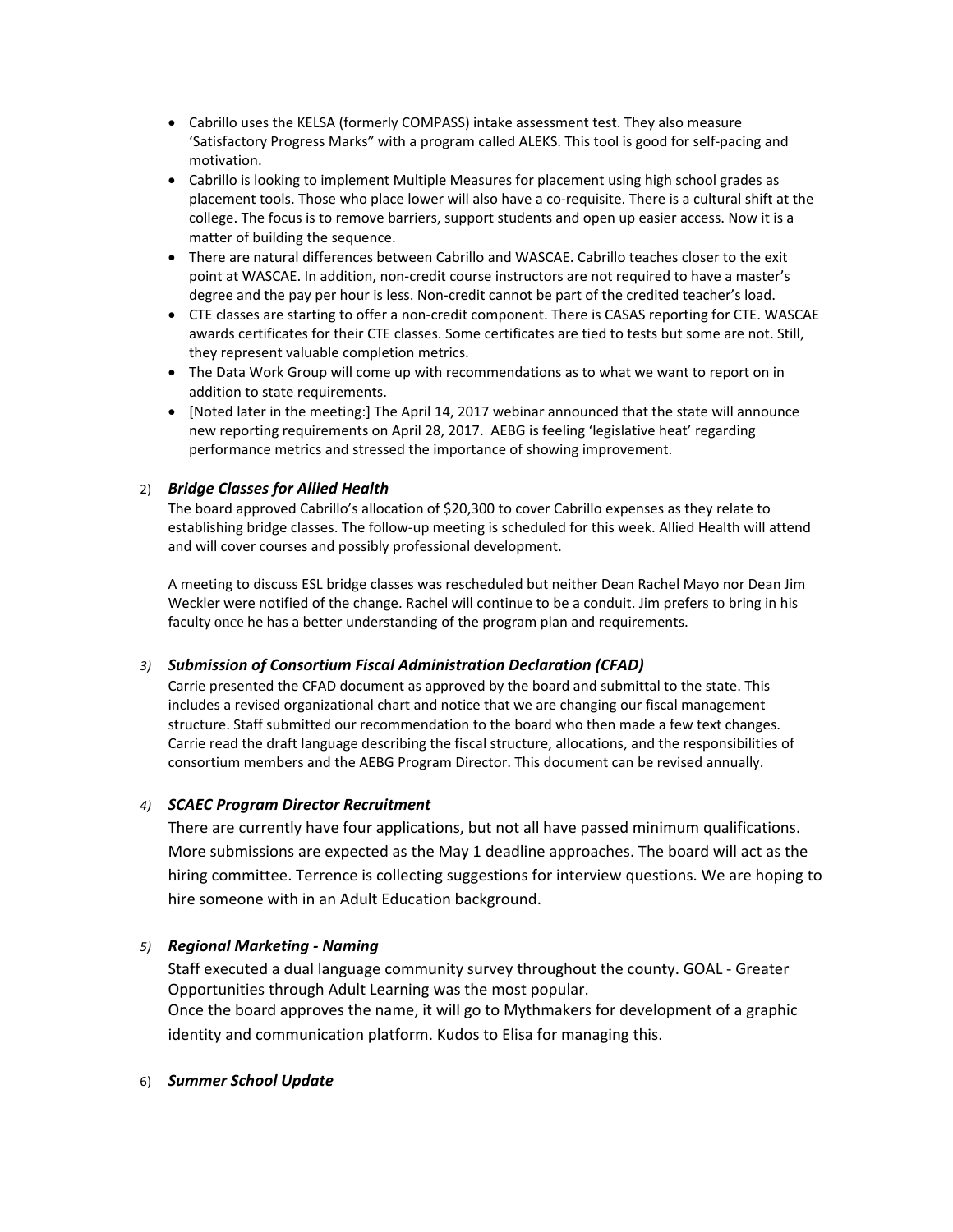- Cabrillo uses the KELSA (formerly COMPASS) intake assessment test. They also measure 'Satisfactory Progress Marks" with a program called ALEKS. This tool is good for self‐pacing and motivation.
- Cabrillo is looking to implement Multiple Measures for placement using high school grades as placement tools. Those who place lower will also have a co-requisite. There is a cultural shift at the college. The focus is to remove barriers, support students and open up easier access. Now it is a matter of building the sequence.
- There are natural differences between Cabrillo and WASCAE. Cabrillo teaches closer to the exit point at WASCAE. In addition, non‐credit course instructors are not required to have a master's degree and the pay per hour is less. Non‐credit cannot be part of the credited teacher's load.
- CTE classes are starting to offer a non-credit component. There is CASAS reporting for CTE. WASCAE awards certificates for their CTE classes. Some certificates are tied to tests but some are not. Still, they represent valuable completion metrics.
- The Data Work Group will come up with recommendations as to what we want to report on in addition to state requirements.
- [Noted later in the meeting:] The April 14, 2017 webinar announced that the state will announce new reporting requirements on April 28, 2017. AEBG is feeling 'legislative heat' regarding performance metrics and stressed the importance of showing improvement.

#### 2) *Bridge Classes for Allied Health*

The board approved Cabrillo's allocation of \$20,300 to cover Cabrillo expenses as they relate to establishing bridge classes. The follow-up meeting is scheduled for this week. Allied Health will attend and will cover courses and possibly professional development.

A meeting to discuss ESL bridge classes was rescheduled but neither Dean Rachel Mayo nor Dean Jim Weckler were notified of the change. Rachel will continue to be a conduit. Jim prefers to bring in his faculty once he has a better understanding of the program plan and requirements.

#### *3) Submission of Consortium Fiscal Administration Declaration (CFAD)*

Carrie presented the CFAD document as approved by the board and submittal to the state. This includes a revised organizational chart and notice that we are changing our fiscal management structure. Staff submitted our recommendation to the board who then made a few text changes. Carrie read the draft language describing the fiscal structure, allocations, and the responsibilities of consortium members and the AEBG Program Director. This document can be revised annually.

#### *4) SCAEC Program Director Recruitment*

There are currently have four applications, but not all have passed minimum qualifications. More submissions are expected as the May 1 deadline approaches. The board will act as the hiring committee. Terrence is collecting suggestions for interview questions. We are hoping to hire someone with in an Adult Education background.

#### *5) Regional Marketing ‐ Naming*

Staff executed a dual language community survey throughout the county. GOAL ‐ Greater Opportunities through Adult Learning was the most popular. Once the board approves the name, it will go to Mythmakers for development of a graphic identity and communication platform. Kudos to Elisa for managing this.

#### 6) *Summer School Update*